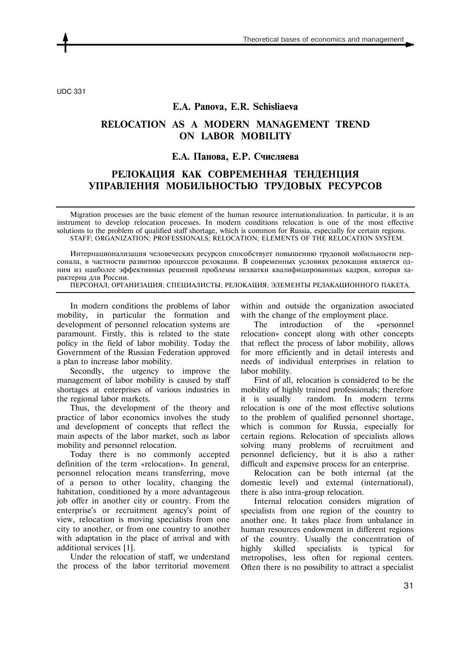UDC 331

### **E.A. Panova, E.R. Schisliaeva**

## **RELOCATION AS A MODERN MANAGEMENT TREND ON LABOR MOBILITY**

### **Е.А. Панова, Е.Р. Счисляева**

# **РЕЛОКАЦИЯ КАК СОВРЕМЕННАЯ ТЕНДЕНЦИЯ УПРАВЛЕНИЯ МОБИЛЬНОСТЬЮ ТРУДОВЫХ РЕСУРСОВ**

Migration processes are the basic element of the human resource internationalization. In particular, it is an instrument to develop relocation processes. In modern conditions relocation is one of the most effective solutions to the problem of qualified staff shortage, which is common for Russia, especially for certain regions. STAFF; ORGANIZATION; PROFESSIONALS; RELOCATION; ELEMENTS OF THE RELOCATION SYSTEM.

Интернационализация человеческих ресурсов способствует повышению трудовой мобильности персонала, в частности развитию процессов релокации. В современных условиях релокация является одним из наиболее эффективных решений проблемы нехватки квалифицированных кадров, которая характерна для России.

ПЕРСОНАЛ; ОРГАНИЗАЦИЯ; СПЕЦИАЛИСТЫ; РЕЛОКАЦИЯ; ЭЛЕМЕНТЫ РЕЛАКАЦИОННОГО ПАКЕТА.

In modern conditions the problems of labor mobility, in particular the formation and development of personnel relocation systems are paramount. Firstly, this is related to the state policy in the field of labor mobility. Today the Government of the Russian Federation approved a plan to increase labor mobility.

Secondly, the urgency to improve the management of labor mobility is caused by staff shortages at enterprises of various industries in the regional labor markets.

Thus, the development of the theory and practice of labor economics involves the study and development of concepts that reflect the main aspects of the labor market, such as labor mobility and personnel relocation.

Today there is no commonly accepted definition of the term «relocation». In general, personnel relocation means transferring, move of a person to other locality, changing the habitation, conditioned by a more advantageous job offer in another city or country. From the enterprise's or recruitment agency's point of view, relocation is moving specialists from one city to another, or from one country to another with adaptation in the place of arrival and with additional services [1].

Under the relocation of staff, we understand the process of the labor territorial movement within and outside the organization associated with the change of the employment place.

The introduction of the «personnel relocation» concept along with other concepts that reflect the process of labor mobility, allows for more efficiently and in detail interests and needs of individual enterprises in relation to labor mobility.

First of all, relocation is considered to be the mobility of highly trained professionals; therefore it is usually random. In modern terms relocation is one of the most effective solutions to the problem of qualified personnel shortage, which is common for Russia, especially for certain regions. Relocation of specialists allows solving many problems of recruitment and personnel deficiency, but it is also a rather difficult and expensive process for an enterprise.

Relocation can be both internal (at the domestic level) and external (international), there is also intra-group relocation.

Internal relocation considers migration of specialists from one region of the country to another one. It takes place from unbalance in human resources endowment in different regions of the country. Usually the concentration of highly skilled specialists is typical for metropolises, less often for regional centers. Often there is no possibility to attract a specialist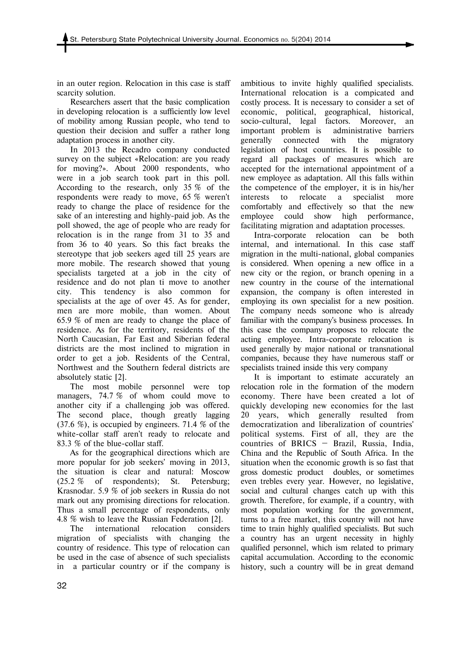in an outer region. Relocation in this case is staff scarcity solution.

Researchers assert that the basic complication in developing relocation is a sufficiently low level of mobility among Russian people, who tend to question their decision and suffer a rather long adaptation process in another city.

In 2013 the Recadro company conducted survey on the subject «Relocation: are you ready for moving?». About 2000 respondents, who were in a job search took part in this poll. According to the research, only 35 % of the respondents were ready to move, 65 % weren't ready to change the place of residence for the sake of an interesting and highly-paid job. As the poll showed, the age of people who are ready for relocation is in the range from 31 to 35 and from 36 to 40 years. So this fact breaks the stereotype that job seekers aged till 25 years are more mobile. The research showed that young specialists targeted at a job in the city of residence and do not plan ti move to another city. This tendency is also common for specialists at the age of over 45. As for gender, men are more mobile, than women. About 65.9 % of men are ready to change the place of residence. As for the territory, residents of the North Caucasian, Far East and Siberian federal districts are the most inclined to migration in order to get a job. Residents of the Central, Northwest and the Southern federal districts are absolutely static [2].

The most mobile personnel were top managers, 74.7 % of whom could move to another city if a challenging job was offered. The second place, though greatly lagging (37.6 %), is occupied by engineers. 71.4 % of the white-collar staff aren't ready to relocate and 83.3 % of the blue-collar staff.

As for the geographical directions which are more popular for job seekers' moving in 2013, the situation is clear and natural: Moscow (25.2 % of respondents); St. Petersburg; Krasnodar. 5.9 % of job seekers in Russia do not mark out any promising directions for relocation. Thus a small percentage of respondents, only 4.8 % wish to leave the Russian Federation [2].

The international relocation considers migration of specialists with changing the country of residence. This type of relocation can be used in the case of absence of such specialists in a particular country or if the company is ambitious to invite highly qualified specialists. International relocation is a compicated and costly process. It is necessary to consider a set of economic, political, geographical, historical, socio-cultural, legal factors. Moreover, an important problem is administrative barriers generally connected with the migratory legislation of host countries. It is possible to regard all packages of measures which are accepted for the international appointment of a new employee as adaptation. All this falls within the competence of the employer, it is in his/her interests to relocate a specialist more comfortably and effectively so that the new employee could show high performance, facilitating migration and adaptation processes.

Intra-corporate relocation can be both internal, and international. In this case staff migration in the multi-national, global companies is considered. When opening a new office in a new city or the region, or branch opening in a new country in the course of the international expansion, the company is often interested in employing its own specialist for a new position. The company needs someone who is already familiar with the company's business processes. In this case the company proposes to relocate the acting employee. Intra-corporate relocation is used generally by major national or transnational companies, because they have numerous staff or specialists trained inside this very company

It is important to estimate accurately an relocation role in the formation of the modern economy. There have been created a lot of quickly developing new economies for the last 20 years, which generally resulted from democratization and liberalization of countries' political systems. First of all, they are the countries of BRICS — Brazil, Russia, India, China and the Republic of South Africa. In the situation when the economic growth is so fast that gross domestic product doubles, or sometimes even trebles every year. However, no legislative, social and cultural changes catch up with this growth. Therefore, for example, if a country, with most population working for the government, turns to a free market, this country will not have time to train highly qualified specialists. But such a country has an urgent necessity in highly qualified personnel, which ism related to primary capital accumulation. According to the economic history, such a country will be in great demand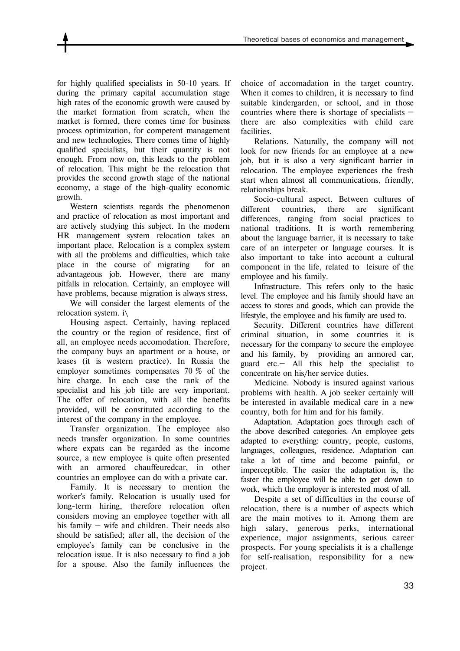for highly qualified specialists in 50-10 years. If during the primary capital accumulation stage high rates of the economic growth were caused by the market formation from scratch, when the market is formed, there comes time for business process optimization, for competent management and new technologies. There comes time of highly qualified specialists, but their quantity is not enough. From now on, this leads to the problem of relocation. This might be the relocation that provides the second growth stage of the national economy, a stage of the high-quality economic growth.

Western scientists regards the phenomenon and practice of relocation as most important and are actively studying this subject. In the modern HR management system relocation takes an important place. Relocation is a complex system with all the problems and difficulties, which take place in the course of migrating for an advantageous job. However, there are many pitfalls in relocation. Certainly, an employee will have problems, because migration is always stress,

We will consider the largest elements of the relocation system. i\

Housing aspect. Certainly, having replaced the country or the region of residence, first of all, an employee needs accomodation. Therefore, the company buys an apartment or a house, or leases (it is western practice). In Russia the employer sometimes compensates 70 % of the hire charge. In each case the rank of the specialist and his job title are very important. The offer of relocation, with all the benefits provided, will be constituted according to the interest of the company in the employee.

Transfer organization. The employee also needs transfer organization. In some countries where expats can be regarded as the income source, a new employee is quite often presented with an armored chauffeuredcar, in other countries an employee can do with a private car.

Family. It is necessary to mention the worker's family. Relocation is usually used for long-term hiring, therefore relocation often considers moving an employee together with all his family – wife and children. Their needs also should be satisfied; after all, the decision of the employee's family can be conclusive in the relocation issue. It is also necessary to find a job for a spouse. Also the family influences the

choice of accomadation in the target country. When it comes to children, it is necessary to find suitable kindergarden, or school, and in those countries where there is shortage of specialists  $$ there are also complexities with child care facilities.

Relations. Naturally, the company will not look for new friends for an employee at a new job, but it is also a very significant barrier in relocation. The employee experiences the fresh start when almost all communications, friendly, relationships break.

Socio-cultural aspect. Between cultures of different countries, there are significant differences, ranging from social practices to national traditions. It is worth remembering about the language barrier, it is necessary to take care of an interpeter or language courses. It is also important to take into account a cultural component in the life, related to leisure of the employee and his family.

Infrastructure. This refers only to the basic level. The employee and his family should have an access to stores and goods, which can provide the lifestyle, the employee and his family are used to.

Security. Different countries have different criminal situation, in some countries it is necessary for the company to secure the employee and his family, by providing an armored car, guard etc.— All this help the specialist to concentrate on his/her service duties.

Medicine. Nobody is insured against various problems with health. A job seeker certainly will be interested in available medical care in a new country, both for him and for his family.

Adaptation. Adaptation goes through each of the above described categories. An employee gets adapted to everything: country, people, customs, languages, colleagues, residence. Adaptation can take a lot of time and become painful, or imperceptible. The easier the adaptation is, the faster the employee will be able to get down to work, which the employer is interested most of all.

Despite a set of difficulties in the course of relocation, there is a number of aspects which are the main motives to it. Among them are high salary, generous perks, international experience, major assignments, serious career prospects. For young specialists it is a challenge for self-realisation, responsibility for a new project.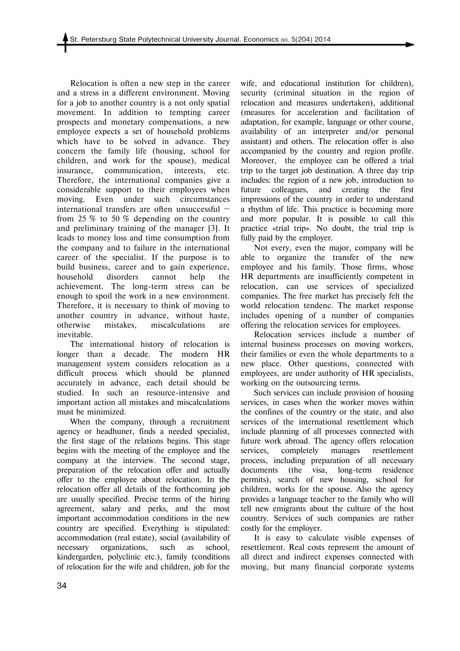Relocation is often a new step in the career and a stress in a different environment. Moving for a job to another country is a not only spatial movement. In addition to tempting career prospects and monetary compensations, a new employee expects a set of household problems which have to be solved in advance. They concern the family life (housing, school for children, and work for the spouse), medical insurance, communication, interests, etc. Therefore, the international companies give a considerable support to their employees when moving. Even under such circumstances international transfers are often unsuccessful from 25 % to 50 % depending on the country and preliminary training of the manager [3]. It leads to money loss and time consumption from the company and to failure in the international career of the specialist. If the purpose is to build business, career and to gain experience, household disorders cannot help the achievement. The long-term stress can be enough to spoil the work in a new environment. Therefore, it is necessary to think of moving to another country in advance, without haste, otherwise mistakes, miscalculations are inevitable.

The international history of relocation is longer than a decade. The modern HR management system considers relocation as a difficult process which should be planned accurately in advance, each detail should be studied. In such an resource-intensive and important action all mistakes and miscalculations must be minimized.

When the company, through a recruitment agency or headhuner, finds a needed specialist, the first stage of the relations begins. This stage begins with the meeting of the employee and the company at the interview. The second stage, preparation of the relocation offer and actually offer to the employee about relocation. In the relocation offer all details of the forthcoming job are usually specified. Precise terms of the hiring agreement, salary and perks, and the most important accommodation conditions in the new country are specified. Everything is stipulated: accommodation (real estate), social (availability of necessary organizations, such as school, kindergarden, polyclinic etc.), family (conditions of relocation for the wife and children, job for the

wife, and educational institution for children), security (criminal situation in the region of relocation and measures undertaken), additional (measures for acceleration and facilitation of adaptation, for example, language or other course, availability of an interpreter and/or personal assistant) and others. The relocation offer is also accompanied by the country and region profile. Moreover, the employee can be offered a trial trip to the target job destination. A three day trip includes: the region of a new job, introduction to future colleagues, and creating the first impressions of the country in order to understand a rhythm of life. This practice is becoming more and more popular. It is possible to call this practice «trial trip». No doubt, the trial trip is fully paid by the employer.

Not every, even the major, company will be able to organize the transfer of the new employee and his family. Those firms, whose HR departments are insufficiently competent in relocation, can use services of specialized companies. The free market has precisely felt the world relocation tendenc. The market response includes opening of a number of companies offering the relocation services for employees.

Relocation services include a number of internal business processes on moving workers, their families or even the whole departments to a new place. Other questions, connected with employees, are under authority of HR specialists, working on the outsourcing terms.

Such services can include provision of housing services, in cases when the worker moves within the confines of the country or the state, and also services of the international resettlement which include planning of all processes connected with future work abroad. The agency offers relocation services, completely manages resettlement process, including preparation of all necessary documents (the visa, long-term residence permits), search of new housing, school for children, works for the spouse. Also the agency provides a language teacher to the family who will tell new emigrants about the culture of the host country. Services of such companies are rather costly for the employer.

It is easy to calculate visible expenses of resettlement. Real costs represent the amount of all direct and indirect expenses connected with moving, but many financial corporate systems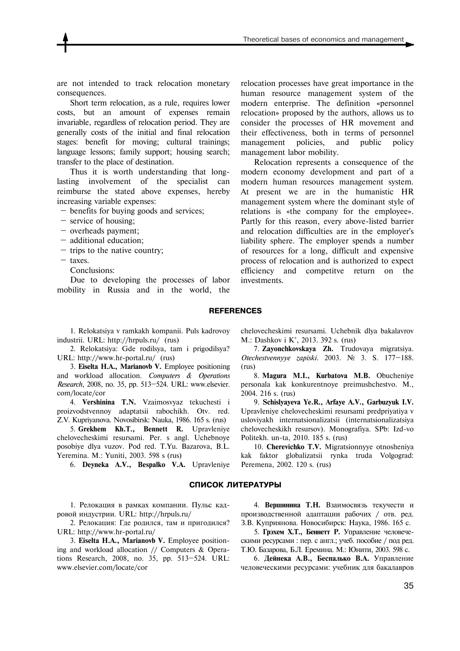are not intended to track relocation monetary consequences.

Short term relocation, as a rule, requires lower costs, but an amount of expenses remain invariable, regardless of relocation period. They are generally costs of the initial and final relocation stages: benefit for moving; cultural trainings; language lessons; family support; housing search; transfer to the place of destination.

Thus it is worth understanding that longlasting involvement of the specialist can reimburse the stated above expenses, hereby increasing variable expenses:

— benefits for buying goods and services;

- service of housing;
- overheads payment;
- additional education;
- trips to the native country;
- taxes.
	- Conclusions:

Due to developing the processes of labor mobility in Russia and in the world, the relocation processes have great importance in the human resource management system of the modern enterprise. The definition «personnel relocation» proposed by the authors, allows us to consider the processes of HR movement and their effectiveness, both in terms of personnel management policies, and public policy management labor mobility.

Relocation represents a consequence of the modern economy development and part of a modern human resources management system. At present we are in the humanistic HR management system where the dominant style of relations is «the company for the employee». Partly for this reason, every above-listed barrier and relocation difficulties are in the employer's liability sphere. The employer spends a number of resources for a long, difficult and expensive process of relocation and is authorized to expect efficiency and competitve return on the investments.

#### **REFERENCES**

1. Relokatsiya v ramkakh kompanii. Puls kadrovoy industrii. URL: http://hrpuls.ru/ (rus)

2. Relokatsiya: Gde rodilsya, tam i prigodilsya? URL: http://www.hr-portal.ru/ (rus)

3. **Eiselta H.A., Marianovb V.** Employee positioning and workload allocation. *Computers & Operations Research*, 2008, no. 35, pp. 513—524. URL: www.elsevier. com/locate/cor

4. **Vershinina T.N.** Vzaimosvyaz tekuchesti i proizvodstvennoy adaptatsii rabochikh. Otv. red. Z.V. Kupriyanova. Novosibirsk: Nauka, 1986. 165 s. (rus)

5. **Grekhem Kh.T., Bennett R.** Upravleniye chelovecheskimi resursami. Per. s angl. Uchebnoye posobiye dlya vuzov. Pod red. T.Yu. Bazarova, B.L. Yeremina. M.: Yuniti, 2003. 598 s (rus)

6. **Deyneka A.V., Bespalko V.A.** Upravleniye

#### **СПИСОК ЛИТЕРАТУРЫ**

1. Релокация в рамках компании. Пульс кадровой индустрии. URL: http://hrpuls.ru/

2. Релокация: Где родился, там и пригодился? URL: http://www.hr-portal.ru/

3. **Eiselta H.A., Marianovb V.** Employee positioning and workload allocation // Computers & Operations Research, 2008, no. 35, pp. 513—524. URL: www.elsevier.com/locate/cor

chelovecheskimi resursami. Uchebnik dlya bakalavrov M.: Dashkov i K°, 2013. 392 s. (rus)

7. **Zayonchkovskaya Zh.** Trudovaya migratsiya. *Otechestvennyye zapiski*. 2003. № 3. S. 177—188. (rus)

8. **Magura M.I., Kurbatova M.B.** Obucheniye personala kak konkurentnoye preimushchestvo. M., 2004. 216 s. (rus)

9. **Schislyayeva Ye.R., Arfaye A.V., Garbuzyuk I.V.** Upravleniye chelovecheskimi resursami predpriyatiya v usloviyakh internatsionalizatsii (internatsionalizatsiya chelovecheskikh resursov). Monografiya. SPb: Izd-vo Politekh. un-ta, 2010. 185 s. (rus)

10. **Cherevichko T.V.** Migratsionnyye otnosheniya kak faktor globalizatsii rynka truda Volgograd: Peremena, 2002. 120 s. (rus)

4. **Вершинина Т.Н.** Взаимосвязь текучести и производственной адаптации рабочих / отв. ред. З.В. Куприянова. Новосибирск: Наука, 1986. 165 с.

5. **Грэхем Х.Т., Беннетт Р.** Управление человеческими ресурсами : пер. с англ.; учеб. пособие / под ред. Т.Ю. Базарова, Б.Л. Еремина. М.: Юнити, 2003. 598 с.

6. **Дейнека А.В., Беспалько В.А.** Управление человеческими ресурсами: учебник для бакалавров